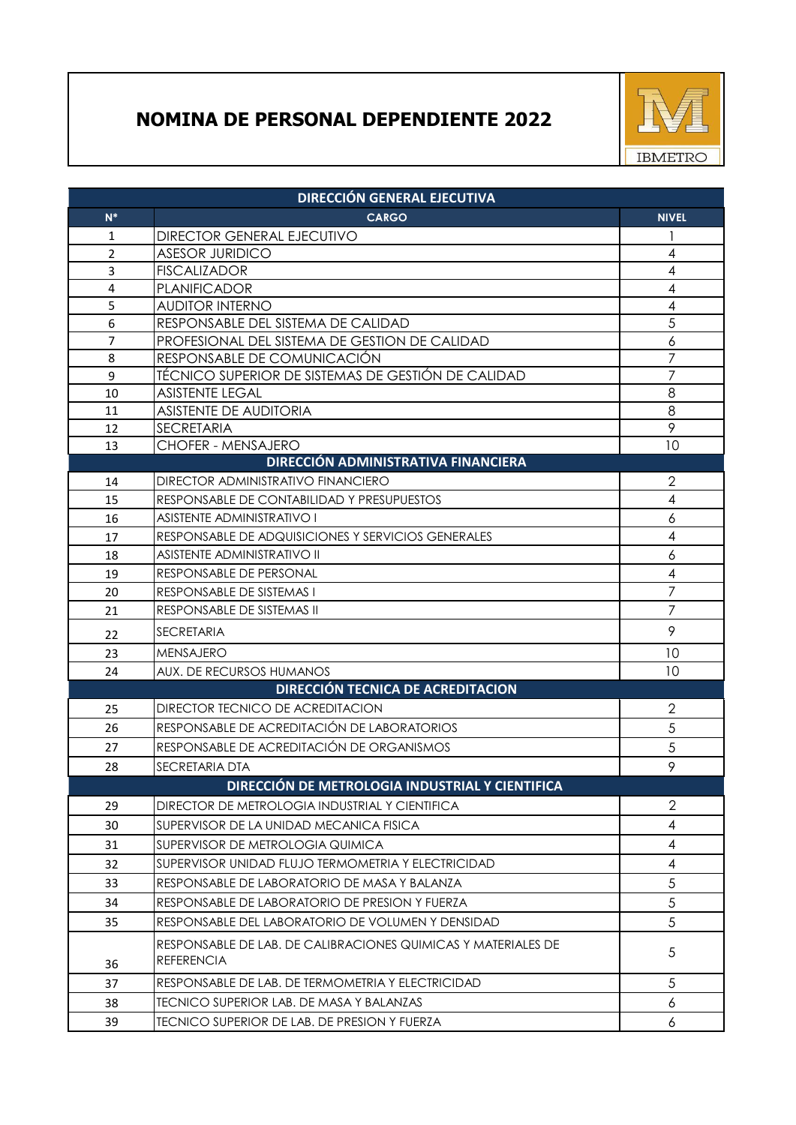## **NOMINA DE PERSONAL DEPENDIENTE 2022**



| <b>DIRECCIÓN GENERAL EJECUTIVA</b> |                                                                                    |                          |  |  |
|------------------------------------|------------------------------------------------------------------------------------|--------------------------|--|--|
| $N^*$                              | <b>CARGO</b>                                                                       | <b>NIVEL</b>             |  |  |
| 1                                  | <b>DIRECTOR GENERAL EJECUTIVO</b>                                                  |                          |  |  |
| $\overline{2}$                     | <b>ASESOR JURIDICO</b>                                                             | 4                        |  |  |
| $\overline{3}$                     | <b>FISCALIZADOR</b>                                                                | $\overline{\mathcal{A}}$ |  |  |
| $\overline{4}$                     | <b>PLANIFICADOR</b>                                                                | 4                        |  |  |
| 5                                  | <b>AUDITOR INTERNO</b>                                                             | 4                        |  |  |
| 6                                  | RESPONSABLE DEL SISTEMA DE CALIDAD                                                 | 5                        |  |  |
| $\overline{7}$                     | PROFESIONAL DEL SISTEMA DE GESTION DE CALIDAD                                      | 6                        |  |  |
| 8                                  | RESPONSABLE DE COMUNICACIÓN                                                        | $\overline{7}$           |  |  |
| 9                                  | TÉCNICO SUPERIOR DE SISTEMAS DE GESTIÓN DE CALIDAD                                 | 7                        |  |  |
| 10                                 | <b>ASISTENTE LEGAL</b>                                                             | 8                        |  |  |
| 11                                 | <b>ASISTENTE DE AUDITORIA</b>                                                      | 8<br>9                   |  |  |
| 12<br>13                           | <b>SECRETARIA</b><br>CHOFER - MENSAJERO                                            | 10                       |  |  |
|                                    | DIRECCIÓN ADMINISTRATIVA FINANCIERA                                                |                          |  |  |
| 14                                 | <b>DIRECTOR ADMINISTRATIVO FINANCIERO</b>                                          | 2                        |  |  |
| 15                                 | RESPONSABLE DE CONTABILIDAD Y PRESUPUESTOS                                         | $\overline{4}$           |  |  |
| 16                                 | <b>ASISTENTE ADMINISTRATIVO I</b>                                                  | 6                        |  |  |
| 17                                 | RESPONSABLE DE ADQUISICIONES Y SERVICIOS GENERALES                                 | 4                        |  |  |
| 18                                 | <b>ASISTENTE ADMINISTRATIVO II</b>                                                 | 6                        |  |  |
| 19                                 | RESPONSABLE DE PERSONAL                                                            | $\overline{4}$           |  |  |
| 20                                 | RESPONSABLE DE SISTEMAS I                                                          | $\overline{7}$           |  |  |
| 21                                 | RESPONSABLE DE SISTEMAS II                                                         | $\overline{7}$           |  |  |
| 22                                 | SECRETARIA                                                                         | 9                        |  |  |
| 23                                 | <b>MENSAJERO</b>                                                                   | 10                       |  |  |
| 24                                 | AUX. DE RECURSOS HUMANOS                                                           | 10                       |  |  |
|                                    | DIRECCIÓN TECNICA DE ACREDITACION                                                  |                          |  |  |
| 25                                 | DIRECTOR TECNICO DE ACREDITACION                                                   | $\overline{2}$           |  |  |
| 26                                 | RESPONSABLE DE ACREDITACIÓN DE LABORATORIOS                                        | 5                        |  |  |
| 27                                 | RESPONSABLE DE ACREDITACIÓN DE ORGANISMOS                                          | 5                        |  |  |
| 28                                 | SECRETARIA DTA                                                                     | 9                        |  |  |
|                                    | DIRECCIÓN DE METROLOGIA INDUSTRIAL Y CIENTIFICA                                    |                          |  |  |
| 29                                 | DIRECTOR DE METROLOGIA INDUSTRIAL Y CIENTIFICA                                     | $\overline{2}$           |  |  |
| 30                                 | SUPERVISOR DE LA UNIDAD MECANICA FISICA                                            | 4                        |  |  |
| 31                                 | SUPERVISOR DE METROLOGIA QUIMICA                                                   | $\overline{4}$           |  |  |
| 32                                 | SUPERVISOR UNIDAD FLUJO TERMOMETRIA Y ELECTRICIDAD                                 | $\overline{4}$           |  |  |
| 33                                 | RESPONSABLE DE LABORATORIO DE MASA Y BALANZA                                       | 5                        |  |  |
| 34                                 | RESPONSABLE DE LABORATORIO DE PRESION Y FUERZA                                     | 5                        |  |  |
|                                    |                                                                                    | 5                        |  |  |
| 35                                 | RESPONSABLE DEL LABORATORIO DE VOLUMEN Y DENSIDAD                                  |                          |  |  |
| 36                                 | RESPONSABLE DE LAB. DE CALIBRACIONES QUIMICAS Y MATERIALES DE<br><b>REFERENCIA</b> | 5                        |  |  |
| 37                                 | RESPONSABLE DE LAB. DE TERMOMETRIA Y ELECTRICIDAD                                  | 5                        |  |  |
| 38                                 | TECNICO SUPERIOR LAB. DE MASA Y BALANZAS                                           | 6                        |  |  |
| 39                                 | TECNICO SUPERIOR DE LAB. DE PRESION Y FUERZA                                       | 6                        |  |  |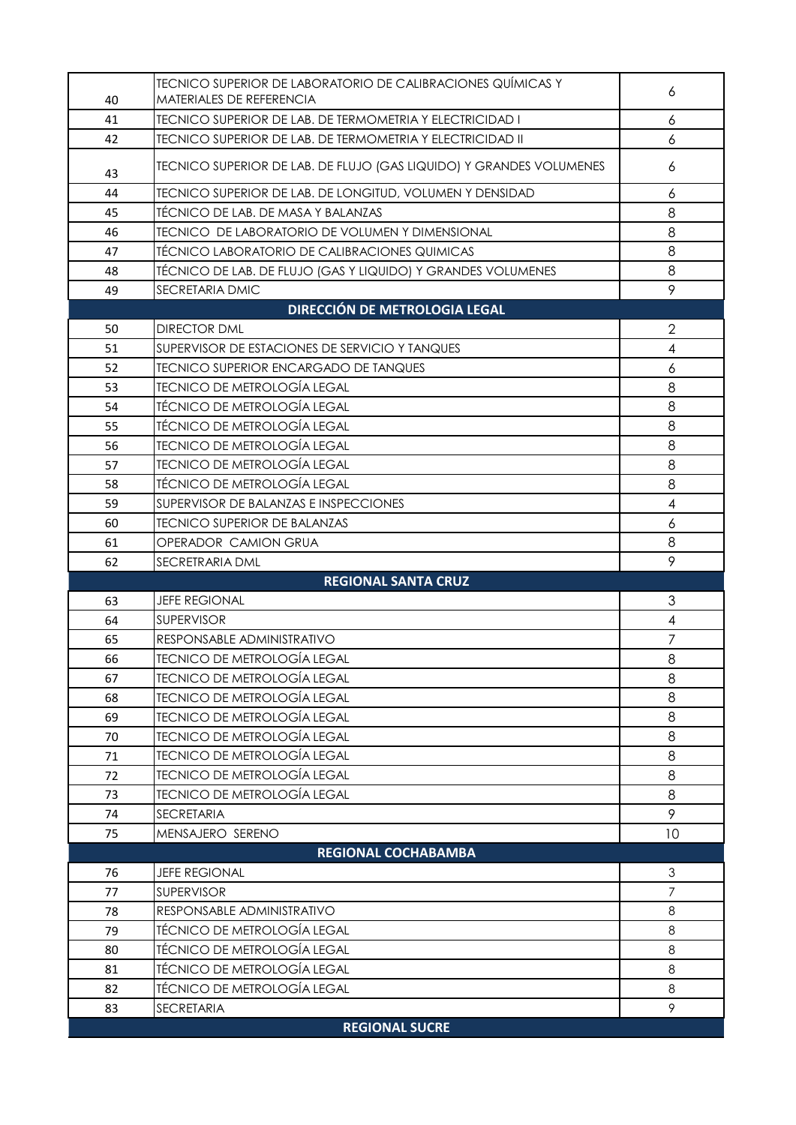| 40 | <b>TECNICO SUPERIOR DE LABORATORIO DE CALIBRACIONES QUÍMICAS Y</b><br>MATERIALES DE REFERENCIA | 6                        |  |
|----|------------------------------------------------------------------------------------------------|--------------------------|--|
| 41 | TECNICO SUPERIOR DE LAB. DE TERMOMETRIA Y ELECTRICIDAD I                                       | 6                        |  |
| 42 | TECNICO SUPERIOR DE LAB. DE TERMOMETRIA Y ELECTRICIDAD II                                      | 6                        |  |
| 43 | TECNICO SUPERIOR DE LAB. DE FLUJO (GAS LIQUIDO) Y GRANDES VOLUMENES                            | 6                        |  |
| 44 | TECNICO SUPERIOR DE LAB. DE LONGITUD, VOLUMEN Y DENSIDAD                                       | 6                        |  |
| 45 | TÉCNICO DE LAB. DE MASA Y BALANZAS                                                             | 8                        |  |
| 46 | <b>TECNICO DE LABORATORIO DE VOLUMEN Y DIMENSIONAL</b>                                         | 8                        |  |
| 47 | TÉCNICO LABORATORIO DE CALIBRACIONES QUIMICAS                                                  | 8                        |  |
| 48 | TÉCNICO DE LAB. DE FLUJO (GAS Y LIQUIDO) Y GRANDES VOLUMENES                                   | 8                        |  |
| 49 | SECRETARIA DMIC                                                                                | 9                        |  |
|    | <b>DIRECCIÓN DE METROLOGIA LEGAL</b>                                                           |                          |  |
| 50 | <b>DIRECTOR DML</b>                                                                            | $\overline{2}$           |  |
| 51 | SUPERVISOR DE ESTACIONES DE SERVICIO Y TANQUES                                                 | $\overline{\mathcal{A}}$ |  |
| 52 | <b>TECNICO SUPERIOR ENCARGADO DE TANQUES</b>                                                   | 6                        |  |
| 53 | <b>TECNICO DE METROLOGÍA LEGAL</b>                                                             | 8                        |  |
| 54 | <b>TÉCNICO DE METROLOGÍA LEGAL</b>                                                             | 8                        |  |
| 55 | <b>TÉCNICO DE METROLOGÍA LEGAL</b>                                                             | 8                        |  |
| 56 | <b>TECNICO DE METROLOGÍA LEGAL</b>                                                             | 8                        |  |
| 57 | <b>TECNICO DE METROLOGÍA LEGAL</b>                                                             | 8                        |  |
| 58 | <b>TÉCNICO DE METROLOGÍA LEGAL</b>                                                             | 8                        |  |
| 59 | SUPERVISOR DE BALANZAS E INSPECCIONES                                                          | $\overline{4}$           |  |
| 60 | <b>TECNICO SUPERIOR DE BALANZAS</b>                                                            | $\boldsymbol{6}$         |  |
| 61 | OPERADOR CAMION GRUA                                                                           | 8                        |  |
| 62 | SECRETRARIA DML                                                                                | 9                        |  |
|    | <b>REGIONAL SANTA CRUZ</b>                                                                     |                          |  |
|    |                                                                                                |                          |  |
| 63 | <b>JEFE REGIONAL</b>                                                                           | 3                        |  |
| 64 | <b>SUPERVISOR</b>                                                                              | $\overline{4}$           |  |
| 65 | RESPONSABLE ADMINISTRATIVO                                                                     | $\overline{7}$           |  |
| 66 | <b>TECNICO DE METROLOGÍA LEGAL</b>                                                             | 8                        |  |
| 67 | <b>TECNICO DE METROLOGÍA LEGAL</b>                                                             | 8                        |  |
| 68 | TECNICO DE METROLOGÍA LEGAL                                                                    | 8                        |  |
| 69 | <b>TECNICO DE METROLOGÍA LEGAL</b>                                                             | 8                        |  |
| 70 | <b>TECNICO DE METROLOGÍA LEGAL</b>                                                             | 8                        |  |
| 71 | <b>TECNICO DE METROLOGÍA LEGAL</b>                                                             | 8                        |  |
| 72 | <b>TECNICO DE METROLOGÍA LEGAL</b>                                                             | 8                        |  |
| 73 | <b>TECNICO DE METROLOGÍA LEGAL</b>                                                             | 8                        |  |
| 74 | <b>SECRETARIA</b>                                                                              | 9                        |  |
| 75 | MENSAJERO SERENO                                                                               | 10 <sup>°</sup>          |  |
|    | <b>REGIONAL COCHABAMBA</b>                                                                     |                          |  |
| 76 | <b>JEFE REGIONAL</b>                                                                           | $\mathfrak{Z}$           |  |
| 77 | <b>SUPERVISOR</b>                                                                              | $\overline{7}$           |  |
| 78 | RESPONSABLE ADMINISTRATIVO                                                                     | 8                        |  |
| 79 | TÉCNICO DE METROLOGÍA LEGAL                                                                    | 8                        |  |
| 80 | <b>TÉCNICO DE METROLOGÍA LEGAL</b>                                                             | $\,8\,$                  |  |
| 81 | <b>TÉCNICO DE METROLOGÍA LEGAL</b>                                                             | 8                        |  |
| 82 | <b>TÉCNICO DE METROLOGÍA LEGAL</b>                                                             | 8                        |  |
| 83 | <b>SECRETARIA</b>                                                                              | 9                        |  |